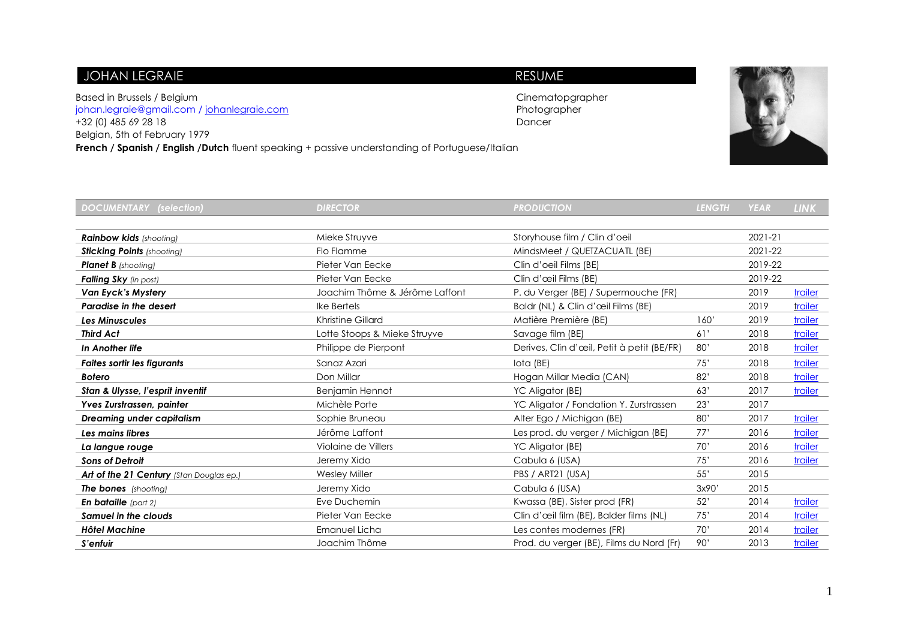## JOHAN LEGRAIE **RESUME**

Based in Brussels / Belgium and European Cinematopgrapher compared in Brussels / Belgium compared in the compared of the compared in the compared of the compared of the compared in the compared of the compared of the compa [johan.legraie@gmail.com](mailto:johan.legraie@gmail.com) / [johanlegraie.com](http://www.johanlegraie.com/) +32 (0) 485 69 28 18 Dancer Belgian, 5th of February 1979 **French / Spanish / English /Dutch** fluent speaking + passive understanding of Portuguese/Italian



| <b>DOCUMENTARY (selection)</b>           | <b>DIRECTOR</b>                | <b>PRODUCTION</b>                          | <b>LENGTH</b> | <b>YEAR</b> | <b>LINK</b>    |
|------------------------------------------|--------------------------------|--------------------------------------------|---------------|-------------|----------------|
|                                          |                                |                                            |               |             |                |
| <b>Rainbow kids</b> (shooting)           | Mieke Struyve                  | Storyhouse film / Clin d'oeil              |               | 2021-21     |                |
| <b>Sticking Points (shooting)</b>        | Flo Flamme                     | MindsMeet / QUETZACUATL (BE)               |               | 2021-22     |                |
| <b>Planet B</b> (shooting)               | Pieter Van Eecke               | Clin d'oeil Films (BE)                     |               | 2019-22     |                |
| Falling Sky (in post)                    | Pieter Van Eecke               | Clin d'œil Films (BE)                      |               | 2019-22     |                |
| <b>Van Eyck's Mystery</b>                | Joachim Thôme & Jérôme Laffont | P. du Verger (BE) / Supermouche (FR)       |               | 2019        | trailer        |
| <b>Paradise in the desert</b>            | Ike Bertels                    | Baldr (NL) & Clin d'œil Films (BE)         |               | 2019        | trailer        |
| <b>Les Minuscules</b>                    | <b>Khristine Gillard</b>       | Matière Première (BE)                      | 160'          | 2019        | trailer        |
| <b>Third Act</b>                         | Lotte Stoops & Mieke Struyve   | Savage film (BE)                           | 61'           | 2018        | trailer        |
| In Another life                          | Philippe de Pierpont           | Derives, Clin d'œil, Petit à petit (BE/FR) | 80'           | 2018        | trailer        |
| <b>Faites sortir les figurants</b>       | Sanaz Azari                    | lota (BE)                                  | 75'           | 2018        | trailer        |
| <b>Botero</b>                            | Don Millar                     | Hogan Millar Media (CAN)                   | 82'           | 2018        | trailer        |
| Stan & Ulysse, l'esprit inventif         | <b>Benjamin Hennot</b>         | YC Aligator (BE)                           | 63'           | 2017        | trailer        |
| Yves Zurstrassen, painter                | Michèle Porte                  | YC Aligator / Fondation Y. Zurstrassen     | 23'           | 2017        |                |
| <b>Dreaming under capitalism</b>         | Sophie Bruneau                 | Alter Ego / Michigan (BE)                  | 80'           | 2017        | <b>trailer</b> |
| Les mains libres                         | Jérôme Laffont                 | Les prod. du verger / Michigan (BE)        | 77'           | 2016        | trailer        |
| La langue rouge                          | Violaine de Villers            | YC Aligator (BE)                           | 70'           | 2016        | trailer        |
| <b>Sons of Detroit</b>                   | Jeremy Xido                    | Cabula 6 (USA)                             | 75'           | 2016        | trailer        |
| Art of the 21 Century (Stan Douglas ep.) | <b>Wesley Miller</b>           | PBS / ART21 (USA)                          | 55'           | 2015        |                |
| The bones (shooting)                     | Jeremy Xido                    | Cabula 6 (USA)                             | 3x90'         | 2015        |                |
| En bataille (part 2)                     | Eve Duchemin                   | Kwassa (BE), Sister prod (FR)              | 52'           | 2014        | trailer        |
| Samuel in the clouds                     | Pieter Van Eecke               | Clin d'œil film (BE), Balder films (NL)    | 75'           | 2014        | trailer        |
| <b>Hôtel Machine</b>                     | Emanuel Licha                  | Les contes modernes (FR)                   | 70'           | 2014        | trailer        |
| S'enfuir                                 | Joachim Thôme                  | Prod. du verger (BE), Films du Nord (Fr)   | 90'           | 2013        | trailer        |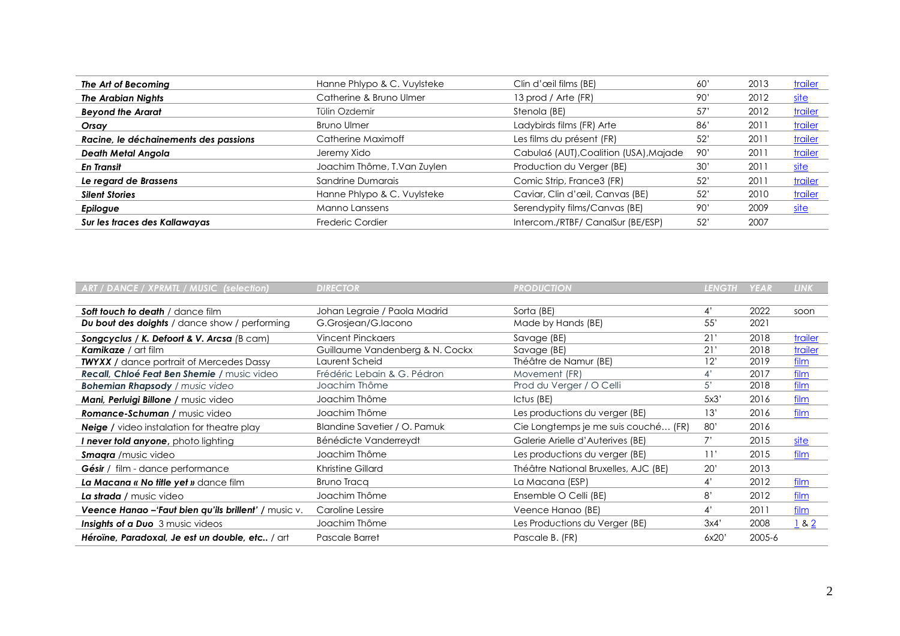| The Art of Becoming                   | Hanne Phlypo & C. Vuylsteke | Clin d'œil films (BE)                  | 60' | 2013 | <b>trailer</b> |
|---------------------------------------|-----------------------------|----------------------------------------|-----|------|----------------|
| <b>The Arabian Nights</b>             | Catherine & Bruno Ulmer     | 13 prod / Arte (FR)                    | 90' | 2012 | <u>site</u>    |
| <b>Beyond the Ararat</b>              | Tülin Ozdemir               | Stenola (BE)                           | 57' | 2012 | <b>trailer</b> |
| Orsay                                 | <b>Bruno Ulmer</b>          | Ladybirds films (FR) Arte              | 86' | 201  | <b>trailer</b> |
| Racine, le déchainements des passions | Catherine Maximoff          | Les films du présent (FR)              | 52' | 201  | trailer        |
| Death Metal Angola                    | Jeremy Xido                 | Cabula6 (AUT), Coalition (USA), Majade | 90' | 201  | trailer        |
| En Transit                            | Joachim Thôme, T.Van Zuylen | Production du Verger (BE)              | 30' | 201  | <u>site</u>    |
| Le regard de Brassens                 | Sandrine Dumarais           | Comic Strip, France3 (FR)              | 52' | 201  | trailer        |
| <b>Silent Stories</b>                 | Hanne Phlypo & C. Vuylsteke | Caviar, Clin d'œil, Canvas (BE)        | 52' | 2010 | trailer        |
| Epilogue                              | Manno Lanssens              | Serendypity films/Canvas (BE)          | 90' | 2009 | <u>site</u>    |
| Sur les traces des Kallawayas         | Frederic Cordier            | Intercom./RTBF/ CanalSur (BE/ESP)      | 52' | 2007 |                |

| ART / DANCE / XPRMTL / MUSIC (selection)             | <b>DIRECTOR</b>                 | <b>PRODUCTION</b>                    | <b>LENGTH</b> | <b>YEAR</b> | <b>LINK</b> |
|------------------------------------------------------|---------------------------------|--------------------------------------|---------------|-------------|-------------|
|                                                      |                                 |                                      |               |             |             |
| Soft touch to death / dance film                     | Johan Legraie / Paola Madrid    | Sorta (BE)                           | 4'            | 2022        | soon        |
| <b>Du bout des doights</b> / dance show / performing | G.Grosjean/G.Iacono             | Made by Hands (BE)                   | 55'           | 2021        |             |
| Songcyclus / K. Defoort & V. Arcsa (B cam)           | <b>Vincent Pinckaers</b>        | Savage (BE)                          | 21'           | 2018        | trailer     |
| <b>Kamikaze</b> / art film                           | Guillaume Vandenberg & N. Cockx | Savage (BE)                          | 21'           | 2018        | trailer     |
| <b>TWYXX</b> / dance portrait of Mercedes Dassy      | Laurent Scheid                  | Théâtre de Namur (BE)                | 12'           | 2019        | <u>film</u> |
| Recall, Chloé Feat Ben Shemie / music video          | Frédéric Lebain & G. Pédron     | Movement (FR)                        | 4'            | 2017        | film        |
| <b>Bohemian Rhapsody / music video</b>               | Joachim Thôme                   | Prod du Verger / O Celli             | 5'            | 2018        | film        |
| <b>Mani, Perluigi Billone / music video</b>          | Joachim Thôme                   | Ictus (BE)                           | 5x3'          | 2016        | film        |
| <b>Romance-Schuman / music video</b>                 | Joachim Thôme                   | Les productions du verger (BE)       | 13'           | 2016        | film        |
| <b>Neige</b> / video instalation for theatre play    | Blandine Savetier / O. Pamuk    | Cie Longtemps je me suis couché (FR) | 80'           | 2016        |             |
| <b>I never told anyone</b> , photo lighting          | Bénédicte Vanderreydt           | Galerie Arielle d'Auterives (BE)     |               | 2015        | site        |
| <b>Smagra</b> / music video                          | Joachim Thôme                   | Les productions du verger (BE)       | 11'           | 2015        | film        |
| Gésir / film - dance performance                     | Khristine Gillard               | Théâtre National Bruxelles, AJC (BE) | 20'           | 2013        |             |
| La Macana « No title yet » dance film                | <b>Bruno Tracq</b>              | La Macana (ESP)                      | 4'            | 2012        | film        |
| La strada / music video                              | Joachim Thôme                   | Ensemble O Celli (BE)                | 8'            | 2012        | film        |
| Veence Hanao -'Faut bien qu'ils brillent' / music v. | Caroline Lessire                | Veence Hanao (BE)                    | 4'            | 2011        | film        |
| <b>Insights of a Duo</b> 3 music videos              | Joachim Thôme                   | Les Productions du Verger (BE)       | 3x4'          | 2008        | 182         |
| Héroïne, Paradoxal, Je est un double, etc / art      | Pascale Barret                  | Pascale B. (FR)                      | 6x20'         | 2005-6      |             |